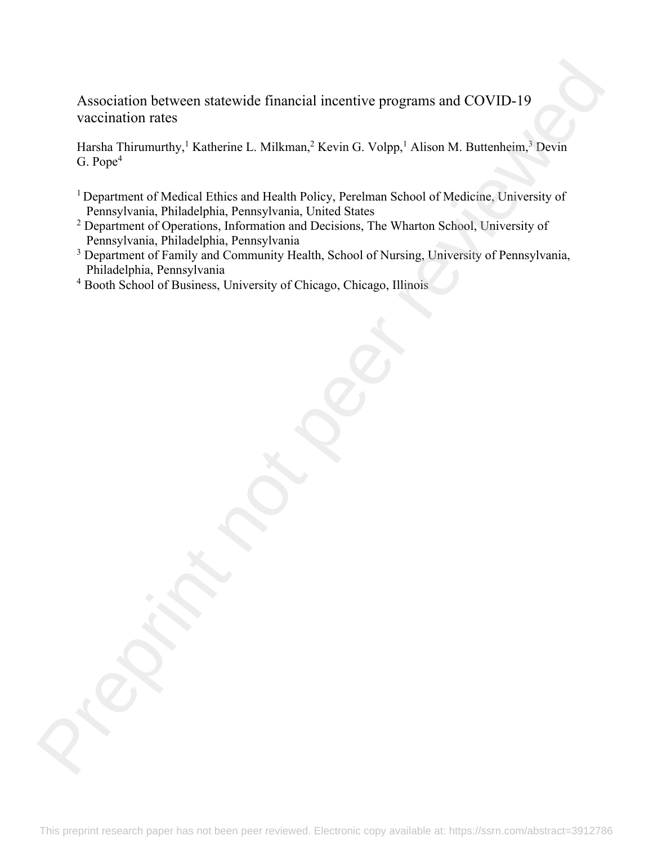Association between statewide financial incentive programs and COVID-19 vaccination rates Association hetween statewide financial incentive programs and COVID-19<br>
vaccination rates<br>
Heada Thitcharthy.<sup>1</sup> Katherno L. Milkrana<sup>2</sup> Kevin G. Volpp.<sup>1</sup> Alboo M. Bettenheim, <sup>1</sup> Devin<br>
G. Poper <sup>1</sup><br>
Dependent of Melic

Harsha Thirumurthy,<sup>1</sup> Katherine L. Milkman,<sup>2</sup> Kevin G. Volpp,<sup>1</sup> Alison M. Buttenheim,<sup>3</sup> Devin G. Pope $<sup>4</sup>$ </sup>

- <sup>1</sup> Department of Medical Ethics and Health Policy, Perelman School of Medicine, University of Pennsylvania, Philadelphia, Pennsylvania, United States
- <sup>2</sup> Department of Operations, Information and Decisions, The Wharton School, University of Pennsylvania, Philadelphia, Pennsylvania
- <sup>3</sup> Department of Family and Community Health, School of Nursing, University of Pennsylvania, Philadelphia, Pennsylvania
- 4 Booth School of Business, University of Chicago, Chicago, Illinois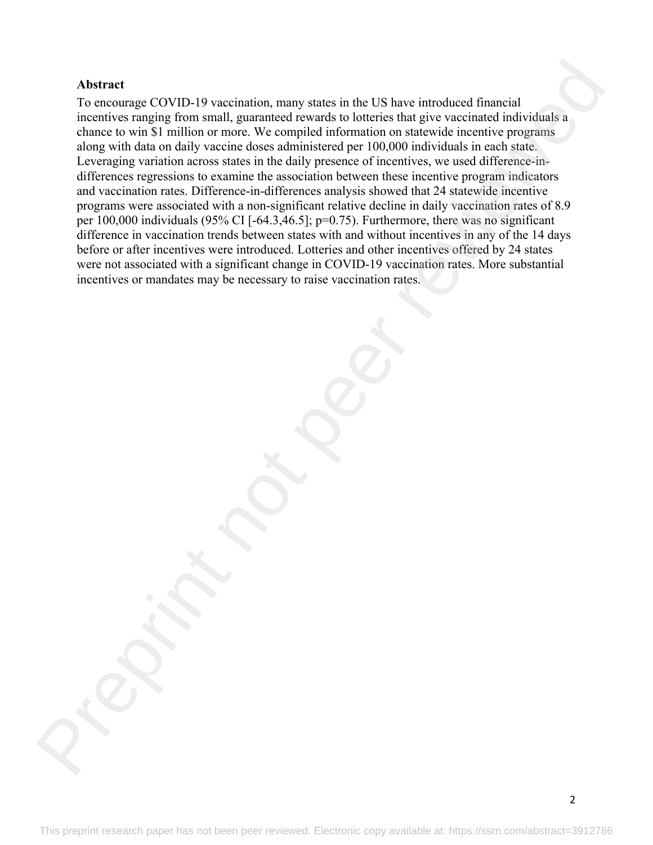## **Abstract**

To encourage COVID-19 vaccination, many states in the US have introduced financial incentives ranging from small, guaranteed rewards to lotteries that give vaccinated individuals a chance to win \$1 million or more. We compiled information on statewide incentive programs along with data on daily vaccine doses administered per 100,000 individuals in each state. Leveraging variation across states in the daily presence of incentives, we used difference-indifferences regressions to examine the association between these incentive program indicators and vaccination rates. Difference-in-differences analysis showed that 24 statewide incentive programs were associated with a non-significant relative decline in daily vaccination rates of 8.9 per 100,000 individuals (95% CI [-64.3,46.5]; p=0.75). Furthermore, there was no significant difference in vaccination trends between states with and without incentives in any of the 14 days before or after incentives were introduced. Lotteries and other incentives offered by 24 states were not associated with a significant change in COVID-19 vaccination rates. More substantial incentives or mandates may be necessary to raise vaccination rates. Abstract<br>To ensuringe COVID-19 vincinntian, many states in the US have introduced financial<br>To ensuring comparing from small, guaranteed rewards to batteries that give vaccinated individuals a<br>change with that on dualy vac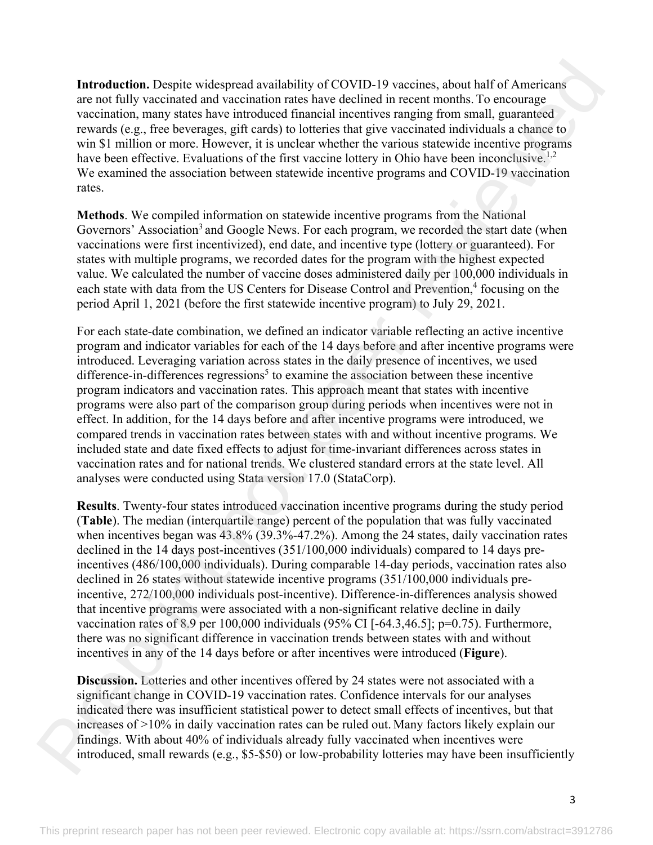**Introduction.** Despite widespread availability of COVID-19 vaccines, about half of Americans are not fully vaccinated and vaccination rates have declined in recent months. To encourage vaccination, many states have introduced financial incentives ranging from small, guaranteed rewards (e.g., free beverages, gift cards) to lotteries that give vaccinated individuals a chance to win \$1 million or more. However, it is unclear whether the various statewide incentive programs have been effective. Evaluations of the first vaccine lottery in Ohio have been inconclusive.<sup>1,2</sup> We examined the association between statewide incentive programs and COVID-19 vaccination rates.

**Methods**. We compiled information on statewide incentive programs from the National Governors' Association<sup>3</sup> and Google News. For each program, we recorded the start date (when vaccinations were first incentivized), end date, and incentive type (lottery or guaranteed). For states with multiple programs, we recorded dates for the program with the highest expected value. We calculated the number of vaccine doses administered daily per 100,000 individuals in each state with data from the US Centers for Disease Control and Prevention,<sup>4</sup> focusing on the period April 1, 2021 (before the first statewide incentive program) to July 29, 2021.

For each state-date combination, we defined an indicator variable reflecting an active incentive program and indicator variables for each of the 14 days before and after incentive programs were introduced. Leveraging variation across states in the daily presence of incentives, we used difference-in-differences regressions<sup>5</sup> to examine the association between these incentive program indicators and vaccination rates. This approach meant that states with incentive programs were also part of the comparison group during periods when incentives were not in effect. In addition, for the 14 days before and after incentive programs were introduced, we compared trends in vaccination rates between states with and without incentive programs. We included state and date fixed effects to adjust for time-invariant differences across states in vaccination rates and for national trends. We clustered standard errors at the state level. All analyses were conducted using Stata version 17.0 (StataCorp). Introduction. Despite widesproad availability of COVID-19 vaccines, about half of Americans<br>revortinging and section and the controller anti-section in recent moduling the rest of the controller and the section in the sec

**Results**. Twenty-four states introduced vaccination incentive programs during the study period (**Table**). The median (interquartile range) percent of the population that was fully vaccinated when incentives began was  $43.8\%$  (39.3%-47.2%). Among the 24 states, daily vaccination rates declined in the 14 days post-incentives (351/100,000 individuals) compared to 14 days preincentives (486/100,000 individuals). During comparable 14-day periods, vaccination rates also declined in 26 states without statewide incentive programs (351/100,000 individuals preincentive, 272/100,000 individuals post-incentive). Difference-in-differences analysis showed that incentive programs were associated with a non-significant relative decline in daily vaccination rates of 8.9 per 100,000 individuals (95% CI [-64.3,46.5]; p=0.75). Furthermore, there was no significant difference in vaccination trends between states with and without incentives in any of the 14 days before or after incentives were introduced (**Figure**).

**Discussion.** Lotteries and other incentives offered by 24 states were not associated with a significant change in COVID-19 vaccination rates. Confidence intervals for our analyses indicated there was insufficient statistical power to detect small effects of incentives, but that increases of >10% in daily vaccination rates can be ruled out. Many factors likely explain our findings. With about 40% of individuals already fully vaccinated when incentives were introduced, small rewards (e.g., \$5-\$50) or low-probability lotteries may have been insufficiently

3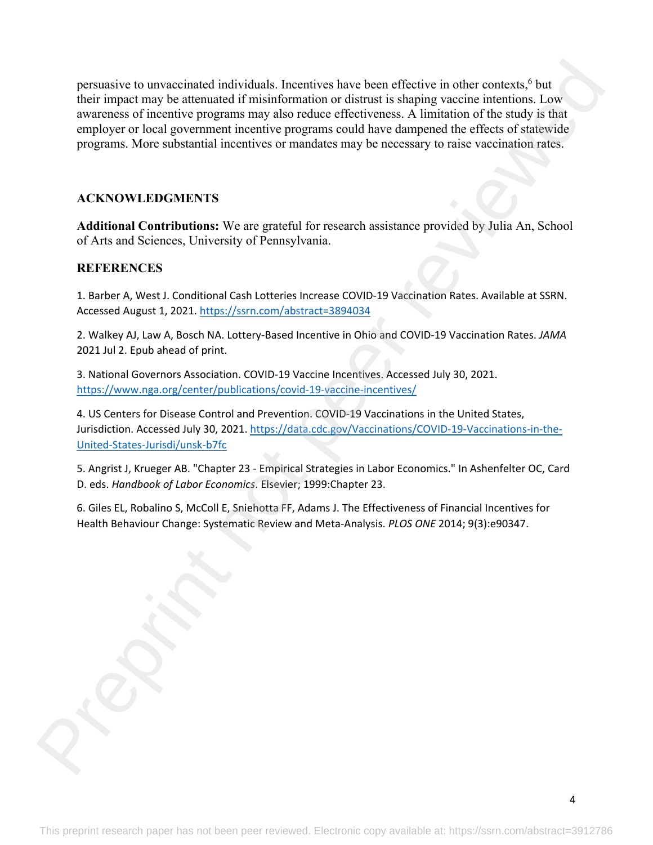persuasive to unvaccinated individuals. Incentives have been effective in other contexts,<sup>6</sup> but their impact may be attenuated if misinformation or distrust is shaping vaccine intentions. Low awareness of incentive programs may also reduce effectiveness. A limitation of the study is that employer or local government incentive programs could have dampened the effects of statewide programs. More substantial incentives or mandates may be necessary to raise vaccination rates. persuasive to unvariented individuals. Incentives have been effective in other contexts,<sup>4</sup> but<br>their imperse range be streamed if misinformation or distribution for the study is their<br>waveness of the energy me transformat

## **ACKNOWLEDGMENTS**

**Additional Contributions:** We are grateful for research assistance provided by Julia An, School of Arts and Sciences, University of Pennsylvania.

## **REFERENCES**

1. Barber A, West J. Conditional Cash Lotteries Increase COVID‐19 Vaccination Rates. Available at SSRN. Accessed August 1, 2021. https://ssrn.com/abstract=3894034

2. Walkey AJ, Law A, Bosch NA. Lottery‐Based Incentive in Ohio and COVID‐19 Vaccination Rates. *JAMA* 2021 Jul 2. Epub ahead of print.

3. National Governors Association. COVID‐19 Vaccine Incentives. Accessed July 30, 2021. https://www.nga.org/center/publications/covid-19-vaccine-incentives/

4. US Centers for Disease Control and Prevention. COVID‐19 Vaccinations in the United States, Jurisdiction. Accessed July 30, 2021. https://data.cdc.gov/Vaccinations/COVID‐19‐Vaccinations‐in‐the‐ United‐States‐Jurisdi/unsk‐b7fc

5. Angrist J, Krueger AB. "Chapter 23 ‐ Empirical Strategies in Labor Economics." In Ashenfelter OC, Card D. eds. *Handbook of Labor Economics*. Elsevier; 1999:Chapter 23.

6. Giles EL, Robalino S, McColl E, Sniehotta FF, Adams J. The Effectiveness of Financial Incentives for Health Behaviour Change: Systematic Review and Meta‐Analysis. *PLOS ONE* 2014; 9(3):e90347.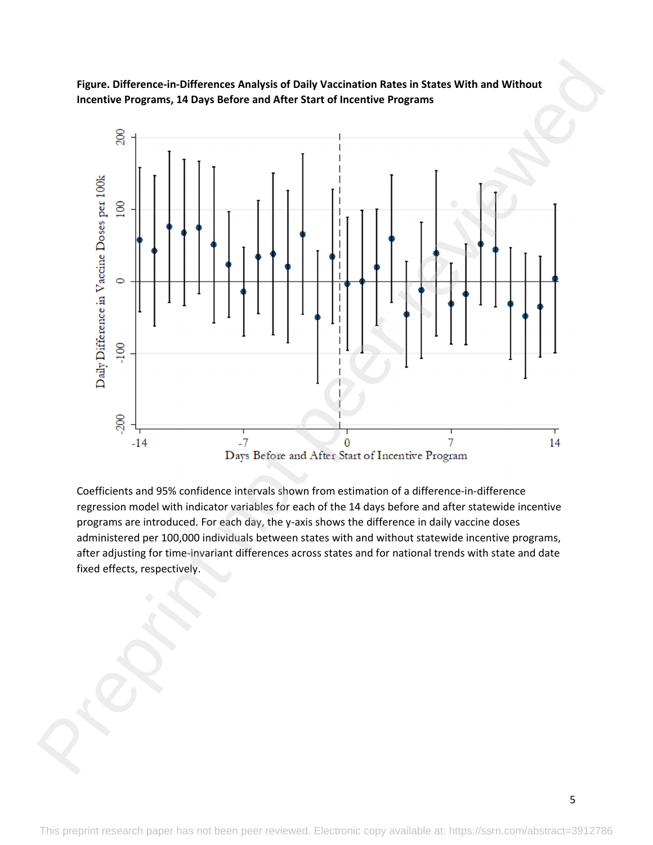**Figure. Difference‐in‐Differences Analysis of Daily Vaccination Rates in States With and Without Incentive Programs, 14 Days Before and After Start of Incentive Programs**



Coefficients and 95% confidence intervals shown from estimation of a difference‐in‐difference regression model with indicator variables for each of the 14 days before and after statewide incentive programs are introduced. For each day, the y‐axis shows the difference in daily vaccine doses administered per 100,000 individuals between states with and without statewide incentive programs, after adjusting for time‐invariant differences across states and for national trends with state and date fixed effects, respectively.